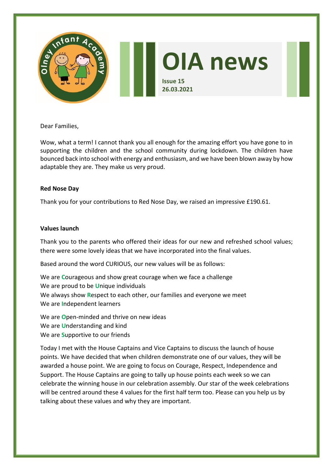

Dear Families,

Wow, what a term! I cannot thank you all enough for the amazing effort you have gone to in supporting the children and the school community during lockdown. The children have bounced back into school with energy and enthusiasm, and we have been blown away by how adaptable they are. They make us very proud.

# **Red Nose Day**

Thank you for your contributions to Red Nose Day, we raised an impressive £190.61.

### **Values launch**

Thank you to the parents who offered their ideas for our new and refreshed school values; there were some lovely ideas that we have incorporated into the final values.

Based around the word CURIOUS, our new values will be as follows:

We are **C**ourageous and show great courage when we face a challenge We are proud to be **U**nique individuals We always show **R**espect to each other, our families and everyone we meet We are **I**ndependent learners

We are **O**pen-minded and thrive on new ideas We are **U**nderstanding and kind We are **S**upportive to our friends

Today I met with the House Captains and Vice Captains to discuss the launch of house points. We have decided that when children demonstrate one of our values, they will be awarded a house point. We are going to focus on Courage, Respect, Independence and Support. The House Captains are going to tally up house points each week so we can celebrate the winning house in our celebration assembly. Our star of the week celebrations will be centred around these 4 values for the first half term too. Please can you help us by talking about these values and why they are important.